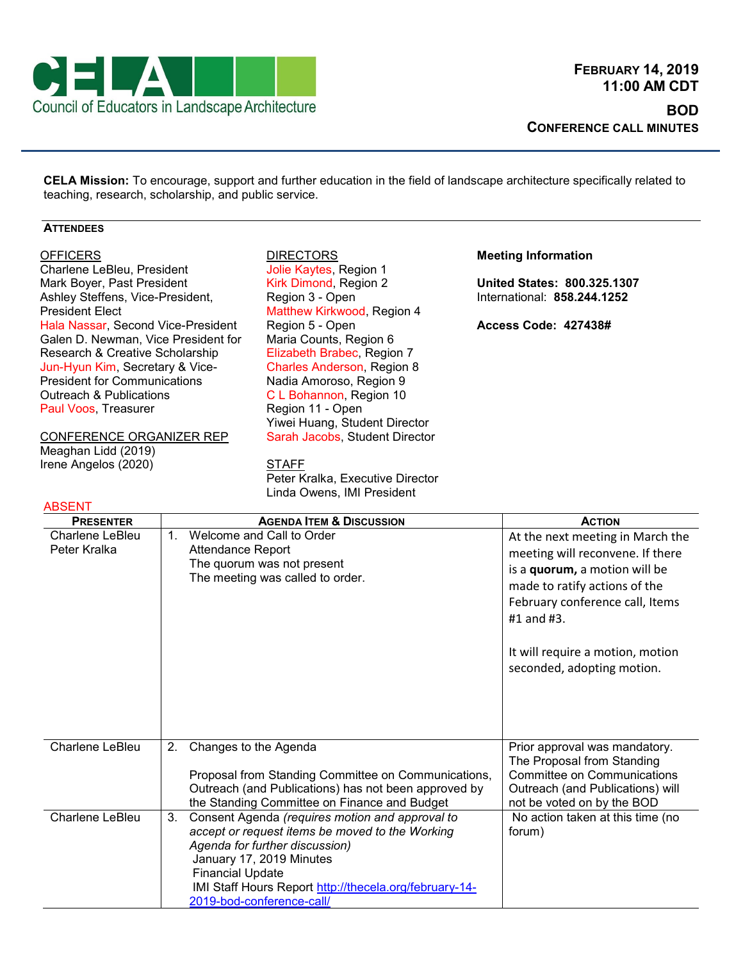

**CELA Mission:** To encourage, support and further education in the field of landscape architecture specifically related to teaching, research, scholarship, and public service.

## **ATTENDEES**

## **OFFICERS**

Charlene LeBleu, President Mark Boyer, Past President Ashley Steffens, Vice-President, President Elect Hala Nassar, Second Vice-President Galen D. Newman, Vice President for Research & Creative Scholarship Jun-Hyun Kim, Secretary & Vice-President for Communications Outreach & Publications Paul Voos, Treasurer

CONFERENCE ORGANIZER REP Meaghan Lidd (2019) Irene Angelos (2020)

#### ABSENT

# **DIRECTORS** Jolie Kaytes, Region 1 Kirk Dimond, Region 2 Region 3 - Open Matthew Kirkwood, Region 4 Region 5 - Open Maria Counts, Region 6 Elizabeth Brabec, Region 7 Charles Anderson, Region 8 Nadia Amoroso, Region 9 C L Bohannon, Region 10 Region 11 - Open Yiwei Huang, Student Director Sarah Jacobs, Student Director

**STAFF** Peter Kralka, Executive Director Linda Owens, IMI President

### **Meeting Information**

**United States: 800.325.1307** International: **858.244.1252**

**Access Code: 427438#**

| <b>PRESENTER</b>                       | <b>AGENDA ITEM &amp; DISCUSSION</b>                                                                                                                                                                                                                                                      | <b>ACTION</b>                                                                                                                                                                           |
|----------------------------------------|------------------------------------------------------------------------------------------------------------------------------------------------------------------------------------------------------------------------------------------------------------------------------------------|-----------------------------------------------------------------------------------------------------------------------------------------------------------------------------------------|
| <b>Charlene LeBleu</b><br>Peter Kralka | Welcome and Call to Order<br>$1_{-}$<br>Attendance Report<br>The quorum was not present<br>The meeting was called to order.                                                                                                                                                              | At the next meeting in March the<br>meeting will reconvene. If there<br>is a quorum, a motion will be<br>made to ratify actions of the<br>February conference call, Items<br>#1 and #3. |
|                                        |                                                                                                                                                                                                                                                                                          | It will require a motion, motion<br>seconded, adopting motion.                                                                                                                          |
| Charlene LeBleu                        | Changes to the Agenda<br>2.<br>Proposal from Standing Committee on Communications,<br>Outreach (and Publications) has not been approved by<br>the Standing Committee on Finance and Budget                                                                                               | Prior approval was mandatory.<br>The Proposal from Standing<br>Committee on Communications<br>Outreach (and Publications) will<br>not be voted on by the BOD                            |
| Charlene LeBleu                        | Consent Agenda (requires motion and approval to<br>3.<br>accept or request items be moved to the Working<br>Agenda for further discussion)<br>January 17, 2019 Minutes<br><b>Financial Update</b><br>IMI Staff Hours Report http://thecela.org/february-14-<br>2019-bod-conference-call/ | No action taken at this time (no<br>forum)                                                                                                                                              |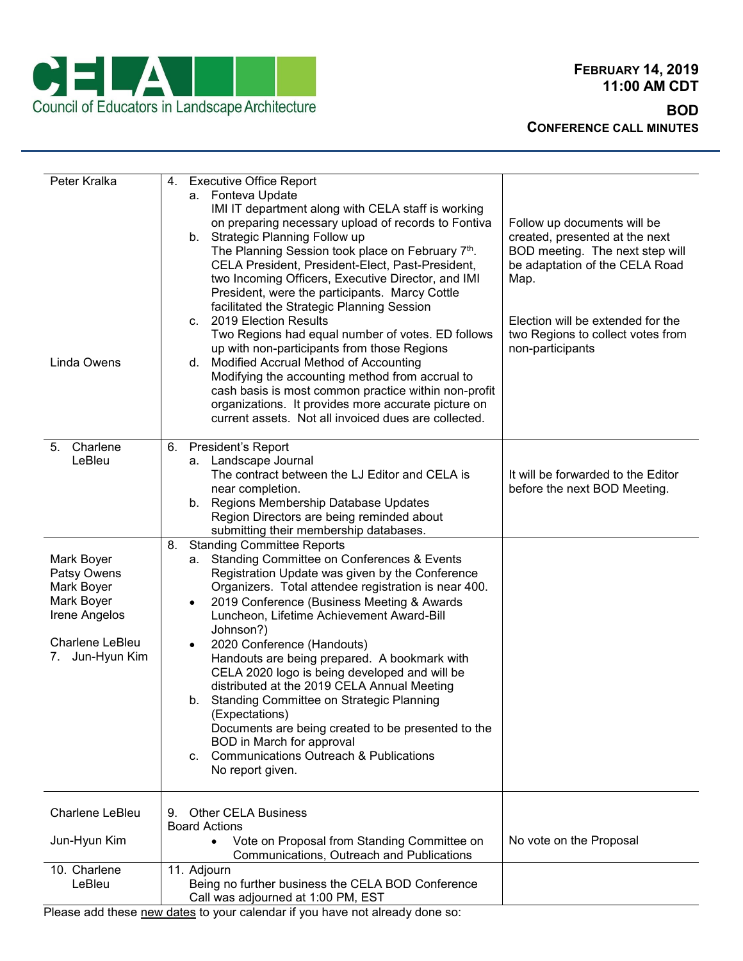

| Peter Kralka<br>Linda Owens                                                                                         | <b>Executive Office Report</b><br>4.<br>a. Fonteva Update<br>IMI IT department along with CELA staff is working<br>on preparing necessary upload of records to Fontiva<br>b. Strategic Planning Follow up<br>The Planning Session took place on February 7th.<br>CELA President, President-Elect, Past-President,<br>two Incoming Officers, Executive Director, and IMI<br>President, were the participants. Marcy Cottle<br>facilitated the Strategic Planning Session<br>c. 2019 Election Results<br>Two Regions had equal number of votes. ED follows<br>up with non-participants from those Regions                                                                                                        | Follow up documents will be<br>created, presented at the next<br>BOD meeting. The next step will<br>be adaptation of the CELA Road<br>Map.<br>Election will be extended for the<br>two Regions to collect votes from<br>non-participants |
|---------------------------------------------------------------------------------------------------------------------|----------------------------------------------------------------------------------------------------------------------------------------------------------------------------------------------------------------------------------------------------------------------------------------------------------------------------------------------------------------------------------------------------------------------------------------------------------------------------------------------------------------------------------------------------------------------------------------------------------------------------------------------------------------------------------------------------------------|------------------------------------------------------------------------------------------------------------------------------------------------------------------------------------------------------------------------------------------|
|                                                                                                                     | d. Modified Accrual Method of Accounting<br>Modifying the accounting method from accrual to<br>cash basis is most common practice within non-profit<br>organizations. It provides more accurate picture on<br>current assets. Not all invoiced dues are collected.                                                                                                                                                                                                                                                                                                                                                                                                                                             |                                                                                                                                                                                                                                          |
| Charlene<br>5.<br>LeBleu                                                                                            | 6. President's Report<br>a. Landscape Journal<br>The contract between the LJ Editor and CELA is<br>near completion.<br>b. Regions Membership Database Updates<br>Region Directors are being reminded about<br>submitting their membership databases.                                                                                                                                                                                                                                                                                                                                                                                                                                                           | It will be forwarded to the Editor<br>before the next BOD Meeting.                                                                                                                                                                       |
| Mark Boyer<br>Patsy Owens<br>Mark Boyer<br>Mark Boyer<br>Irene Angelos<br><b>Charlene LeBleu</b><br>7. Jun-Hyun Kim | <b>Standing Committee Reports</b><br>8.<br>a. Standing Committee on Conferences & Events<br>Registration Update was given by the Conference<br>Organizers. Total attendee registration is near 400.<br>2019 Conference (Business Meeting & Awards<br>Luncheon, Lifetime Achievement Award-Bill<br>Johnson?)<br>2020 Conference (Handouts)<br>Handouts are being prepared. A bookmark with<br>CELA 2020 logo is being developed and will be<br>distributed at the 2019 CELA Annual Meeting<br>b. Standing Committee on Strategic Planning<br>(Expectations)<br>Documents are being created to be presented to the<br>BOD in March for approval<br>c. Communications Outreach & Publications<br>No report given. |                                                                                                                                                                                                                                          |
| <b>Charlene LeBleu</b><br>Jun-Hyun Kim                                                                              | <b>Other CELA Business</b><br>9.<br><b>Board Actions</b><br>Vote on Proposal from Standing Committee on<br>$\bullet$                                                                                                                                                                                                                                                                                                                                                                                                                                                                                                                                                                                           | No vote on the Proposal                                                                                                                                                                                                                  |
|                                                                                                                     | Communications, Outreach and Publications                                                                                                                                                                                                                                                                                                                                                                                                                                                                                                                                                                                                                                                                      |                                                                                                                                                                                                                                          |
| 10. Charlene<br>LeBleu                                                                                              | 11. Adjourn<br>Being no further business the CELA BOD Conference<br>Call was adjourned at 1:00 PM, EST                                                                                                                                                                                                                                                                                                                                                                                                                                                                                                                                                                                                         |                                                                                                                                                                                                                                          |

Please add these new dates to your calendar if you have not already done so: